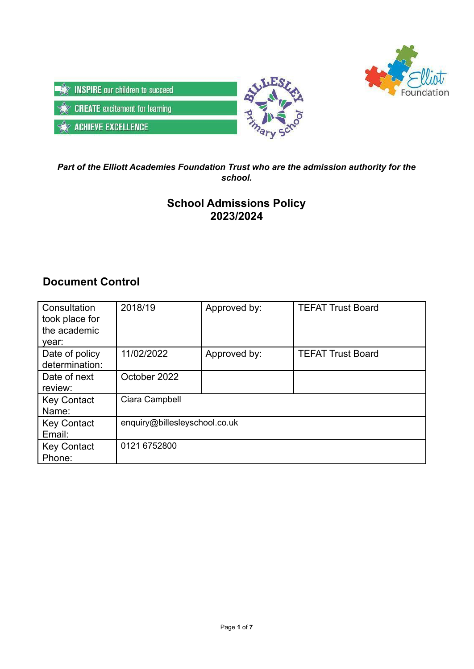



# *Part of the Elliott Academies Foundation Trust who are the admission authority for the school.*

# **School Admissions Policy 2023/2024**

# **Document Control**

| Consultation<br>took place for<br>the academic<br>year: | 2018/19                       | Approved by: | <b>TEFAT Trust Board</b> |
|---------------------------------------------------------|-------------------------------|--------------|--------------------------|
| Date of policy<br>determination:                        | 11/02/2022                    | Approved by: | <b>TEFAT Trust Board</b> |
| Date of next<br>review:                                 | October 2022                  |              |                          |
| <b>Key Contact</b><br>Name:                             | Ciara Campbell                |              |                          |
| <b>Key Contact</b><br>Email:                            | enquiry@billesleyschool.co.uk |              |                          |
| <b>Key Contact</b><br>Phone:                            | 0121 6752800                  |              |                          |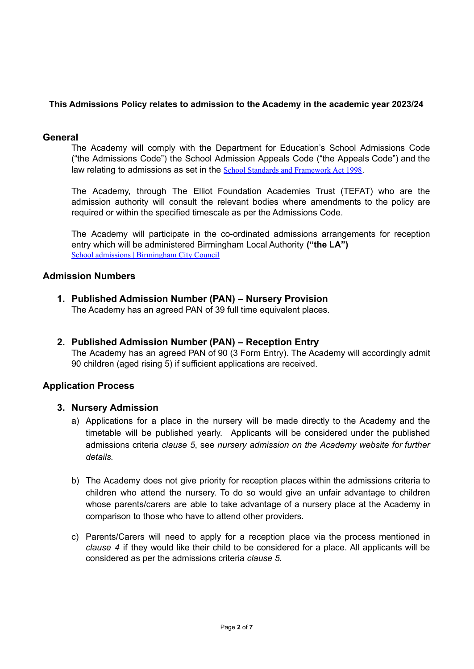## **This Admissions Policy relates to admission to the Academy in the academic year 2023/24**

### **General**

The Academy will comply with the Department for Education's School Admissions Code ("the Admissions Code") the School Admission Appeals Code ("the Appeals Code") and the law relating to admissions as set in the School Standards and [Framework](https://www.legislation.gov.uk/ukpga/1998/31/contents) Act 1998.

The Academy, through The Elliot Foundation Academies Trust (TEFAT) who are the admission authority will consult the relevant bodies where amendments to the policy are required or within the specified timescale as per the Admissions Code.

The Academy will participate in the co-ordinated admissions arrangements for reception entry which will be administered Birmingham Local Authority **("the LA")** School admissions | [Birmingham](https://www.birmingham.gov.uk/schooladmissions) City Council

# **Admission Numbers**

**1. Published Admission Number (PAN) – Nursery Provision**

The Academy has an agreed PAN of 39 full time equivalent places.

**2. Published Admission Number (PAN) – Reception Entry** The Academy has an agreed PAN of 90 (3 Form Entry). The Academy will accordingly admit 90 children (aged rising 5) if sufficient applications are received.

## **Application Process**

## **3. Nursery Admission**

- a) Applications for a place in the nursery will be made directly to the Academy and the timetable will be published yearly. Applicants will be considered under the published admissions criteria *clause 5*, see *nursery admission on the Academy website for further details.*
- b) The Academy does not give priority for reception places within the admissions criteria to children who attend the nursery. To do so would give an unfair advantage to children whose parents/carers are able to take advantage of a nursery place at the Academy in comparison to those who have to attend other providers.
- c) Parents/Carers will need to apply for a reception place via the process mentioned in *clause 4* if they would like their child to be considered for a place. All applicants will be considered as per the admissions criteria *clause 5.*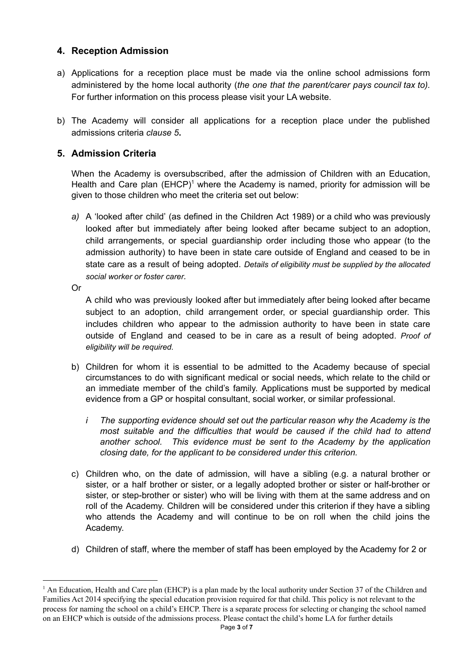# **4. Reception Admission**

- a) Applications for a reception place must be made via the online school admissions form administered by the home local authority (*the one that the parent/carer pays council tax to).* For further information on this process please visit your LA website.
- b) The Academy will consider all applications for a reception place under the published admissions criteria *clause 5***.**

# **5. Admission Criteria**

When the Academy is oversubscribed, after the admission of Children with an Education, Health and Care plan  $(EHCP)^1$  where the Academy is named, priority for admission will be given to those children who meet the criteria set out below:

*a)* A 'looked after child' (as defined in the Children Act 1989) or a child who was previously looked after but immediately after being looked after became subject to an adoption, child arrangements, or special guardianship order including those who appear (to the admission authority) to have been in state care outside of England and ceased to be in state care as a result of being adopted. *Details of eligibility must be supplied by the allocated social worker or foster carer.*

Or

A child who was previously looked after but immediately after being looked after became subject to an adoption, child arrangement order, or special guardianship order. This includes children who appear to the admission authority to have been in state care outside of England and ceased to be in care as a result of being adopted. *Proof of eligibility will be required.*

- b) Children for whom it is essential to be admitted to the Academy because of special circumstances to do with significant medical or social needs, which relate to the child or an immediate member of the child's family. Applications must be supported by medical evidence from a GP or hospital consultant, social worker, or similar professional.
	- *i The supporting evidence should set out the particular reason why the Academy is the most suitable and the difficulties that would be caused if the child had to attend another school. This evidence must be sent to the Academy by the application closing date, for the applicant to be considered under this criterion.*
- c) Children who, on the date of admission, will have a sibling (e.g. a natural brother or sister, or a half brother or sister, or a legally adopted brother or sister or half-brother or sister, or step-brother or sister) who will be living with them at the same address and on roll of the Academy. Children will be considered under this criterion if they have a sibling who attends the Academy and will continue to be on roll when the child joins the Academy.
- d) Children of staff, where the member of staff has been employed by the Academy for 2 or

<sup>&</sup>lt;sup>1</sup> An Education, Health and Care plan (EHCP) is a plan made by the local authority under Section 37 of the Children and Families Act 2014 specifying the special education provision required for that child. This policy is not relevant to the process for naming the school on a child's EHCP. There is a separate process for selecting or changing the school named on an EHCP which is outside of the admissions process. Please contact the child's home LA for further details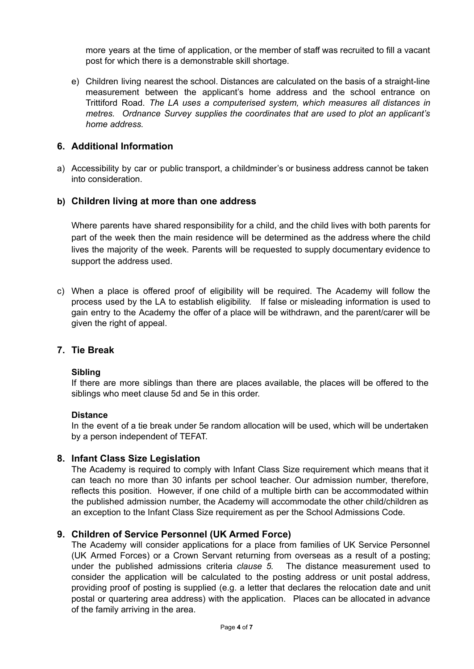more years at the time of application, or the member of staff was recruited to fill a vacant post for which there is a demonstrable skill shortage.

e) Children living nearest the school. Distances are calculated on the basis of a straight-line measurement between the applicant's home address and the school entrance on Trittiford Road. *The LA uses a computerised system, which measures all distances in metres. Ordnance Survey supplies the coordinates that are used to plot an applicant's home address.*

### **6. Additional Information**

a) Accessibility by car or public transport, a childminder's or business address cannot be taken into consideration.

### **b) Children living at more than one address**

Where parents have shared responsibility for a child, and the child lives with both parents for part of the week then the main residence will be determined as the address where the child lives the majority of the week. Parents will be requested to supply documentary evidence to support the address used.

c) When a place is offered proof of eligibility will be required. The Academy will follow the process used by the LA to establish eligibility. If false or misleading information is used to gain entry to the Academy the offer of a place will be withdrawn, and the parent/carer will be given the right of appeal.

### **7. Tie Break**

#### **Sibling**

If there are more siblings than there are places available, the places will be offered to the siblings who meet clause 5d and 5e in this order.

#### **Distance**

In the event of a tie break under 5e random allocation will be used, which will be undertaken by a person independent of TEFAT.

### **8. Infant Class Size Legislation**

The Academy is required to comply with Infant Class Size requirement which means that it can teach no more than 30 infants per school teacher. Our admission number, therefore, reflects this position. However, if one child of a multiple birth can be accommodated within the published admission number, the Academy will accommodate the other child/children as an exception to the Infant Class Size requirement as per the School Admissions Code.

### **9. Children of Service Personnel (UK Armed Force)**

The Academy will consider applications for a place from families of UK Service Personnel (UK Armed Forces) or a Crown Servant returning from overseas as a result of a posting; under the published admissions criteria *clause 5.* The distance measurement used to consider the application will be calculated to the posting address or unit postal address, providing proof of posting is supplied (e.g. a letter that declares the relocation date and unit postal or quartering area address) with the application. Places can be allocated in advance of the family arriving in the area.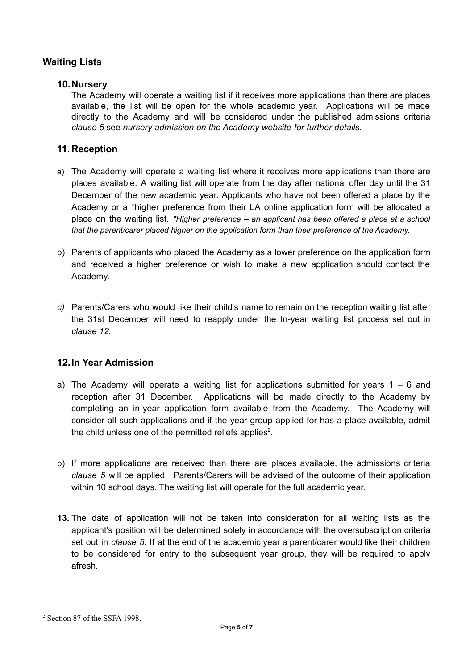# **Waiting Lists**

## **10.Nursery**

The Academy will operate a waiting list if it receives more applications than there are places available, the list will be open for the whole academic year. Applications will be made directly to the Academy and will be considered under the published admissions criteria *clause 5* see *nursery admission on the Academy website for further details.*

### **11. Reception**

- a) The Academy will operate a waiting list where it receives more applications than there are places available. A waiting list will operate from the day after national offer day until the 31 December of the new academic year. Applicants who have not been offered a place by the Academy or a \*higher preference from their LA online application form will be allocated a place on the waiting list. *\*Higher preference – an applicant has been offered a place at a school that the parent/carer placed higher on the application form than their preference of the Academy.*
- b) Parents of applicants who placed the Academy as a lower preference on the application form and received a higher preference or wish to make a new application should contact the Academy.
- *c)* Parents/Carers who would like their child's name to remain on the reception waiting list after the 31st December will need to reapply under the In-year waiting list process set out in *clause 12.*

# **12.In Year Admission**

- a) The Academy will operate a waiting list for applications submitted for years  $1 6$  and reception after 31 December. Applications will be made directly to the Academy by completing an in-year application form available from the Academy. The Academy will consider all such applications and if the year group applied for has a place available, admit the child unless one of the permitted reliefs applies<sup>2</sup>.
- b) If more applications are received than there are places available, the admissions criteria *clause 5* will be applied. Parents/Carers will be advised of the outcome of their application within 10 school days. The waiting list will operate for the full academic year.
- **13.** The date of application will not be taken into consideration for all waiting lists as the applicant's position will be determined solely in accordance with the oversubscription criteria set out in *clause 5*. If at the end of the academic year a parent/carer would like their children to be considered for entry to the subsequent year group, they will be required to apply afresh.

<sup>2</sup> Section 87 of the SSFA 1998.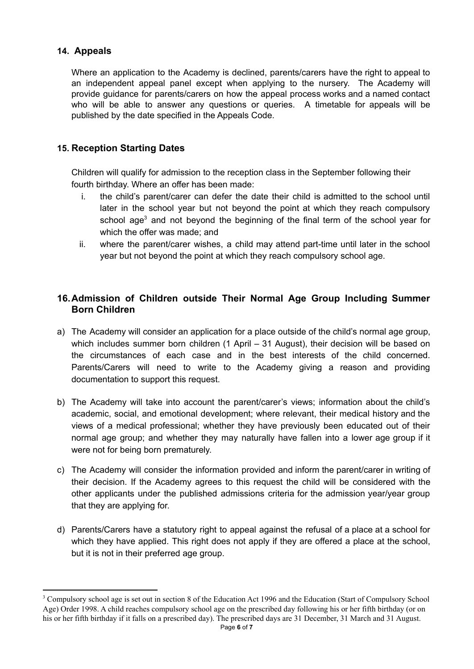# **14. Appeals**

Where an application to the Academy is declined, parents/carers have the right to appeal to an independent appeal panel except when applying to the nursery. The Academy will provide guidance for parents/carers on how the appeal process works and a named contact who will be able to answer any questions or queries. A timetable for appeals will be published by the date specified in the Appeals Code.

# **15. Reception Starting Dates**

Children will qualify for admission to the reception class in the September following their fourth birthday. Where an offer has been made:

- i. the child's parent/carer can defer the date their child is admitted to the school until later in the school year but not beyond the point at which they reach compulsory school age<sup>3</sup> and not beyond the beginning of the final term of the school year for which the offer was made; and
- ii. where the parent/carer wishes, a child may attend part-time until later in the school year but not beyond the point at which they reach compulsory school age.

# **16.Admission of Children outside Their Normal Age Group Including Summer Born Children**

- a) The Academy will consider an application for a place outside of the child's normal age group, which includes summer born children (1 April – 31 August), their decision will be based on the circumstances of each case and in the best interests of the child concerned. Parents/Carers will need to write to the Academy giving a reason and providing documentation to support this request.
- b) The Academy will take into account the parent/carer's views; information about the child's academic, social, and emotional development; where relevant, their medical history and the views of a medical professional; whether they have previously been educated out of their normal age group; and whether they may naturally have fallen into a lower age group if it were not for being born prematurely.
- c) The Academy will consider the information provided and inform the parent/carer in writing of their decision. If the Academy agrees to this request the child will be considered with the other applicants under the published admissions criteria for the admission year/year group that they are applying for.
- d) Parents/Carers have a statutory right to appeal against the refusal of a place at a school for which they have applied. This right does not apply if they are offered a place at the school, but it is not in their preferred age group.

<sup>&</sup>lt;sup>3</sup> Compulsory school age is set out in section 8 of the Education Act 1996 and the Education (Start of Compulsory School Age) Order 1998. A child reaches compulsory school age on the prescribed day following his or her fifth birthday (or on his or her fifth birthday if it falls on a prescribed day). The prescribed days are 31 December, 31 March and 31 August.